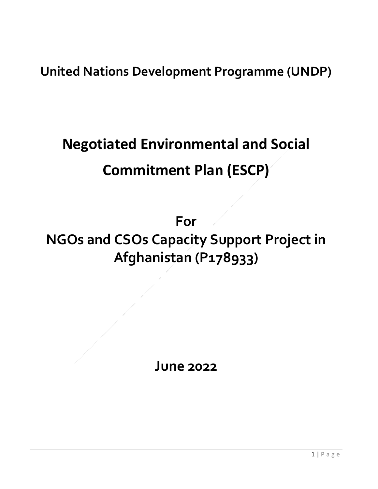**United Nations Development Programme (UNDP)**

## **Negotiated Environmental and Social Commitment Plan (ESCP)**

**For NGOs and CSOs Capacity Support Project in Afghanistan (P178933)**

**June 2022**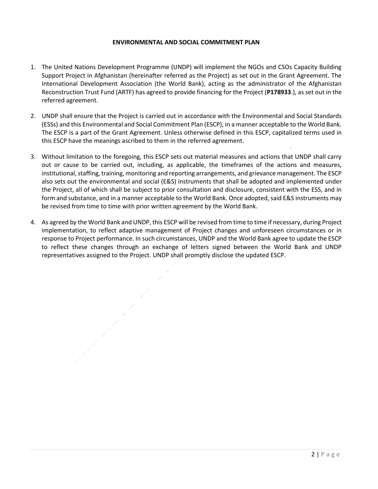## **ENVIRONMENTAL AND SOCIAL COMMITMENT PLAN**

- 1. The United Nations Development Programme (UNDP) will implement the NGOs and CSOs Capacity Building Support Project in Afghanistan (hereinafter referred as the Project) as set out in the Grant Agreement. The International Development Association (the World Bank), acting as the administrator of the Afghanistan Reconstruction Trust Fund (ARTF) has agreed to provide financing for the Project (**P178933**.), as set out in the referred agreement.
- 2. UNDP shall ensure that the Project is carried out in accordance with the Environmental and Social Standards (ESSs) and this Environmental and Social Commitment Plan (ESCP), in a manner acceptable to the World Bank. The ESCP is a part of the Grant Agreement. Unless otherwise defined in this ESCP, capitalized terms used in this ESCP have the meanings ascribed to them in the referred agreement.
- 3. Without limitation to the foregoing, this ESCP sets out material measures and actions that UNDP shall carry out or cause to be carried out, including, as applicable, the timeframes of the actions and measures, institutional, staffing, training, monitoring and reporting arrangements, and grievance management. The ESCP also sets out the environmental and social (E&S) instruments that shall be adopted and implemented under the Project, all of which shall be subject to prior consultation and disclosure, consistent with the ESS, and in form and substance, and in a manner acceptable to the World Bank. Once adopted, said E&S instruments may be revised from time to time with prior written agreement by the World Bank.
- 4. As agreed by the World Bank and UNDP, this ESCP will be revised from time to time if necessary, during Project implementation, to reflect adaptive management of Project changes and unforeseen circumstances or in response to Project performance. In such circumstances, UNDP and the World Bank agree to update the ESCP to reflect these changes through an exchange of letters signed between the World Bank and UNDP representatives assigned to the Project. UNDP shall promptly disclose the updated ESCP.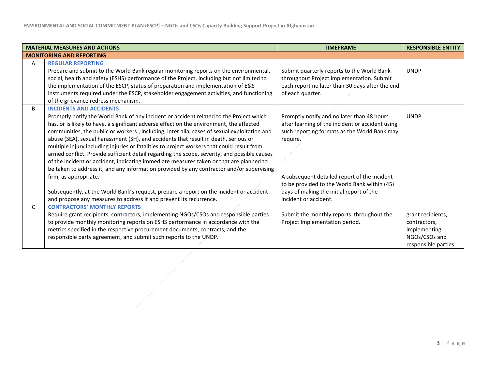|   | <b>MATERIAL MEASURES AND ACTIONS</b>                                                                                                                                                                                                                                                                                                                                                                                                                                                                                                                                                                                                                                                                                                                                                                                                                                                                                                                                                         | <b>TIMEFRAME</b>                                                                                                                                                                                                                                                                                                                | <b>RESPONSIBLE ENTITY</b>                                                                 |
|---|----------------------------------------------------------------------------------------------------------------------------------------------------------------------------------------------------------------------------------------------------------------------------------------------------------------------------------------------------------------------------------------------------------------------------------------------------------------------------------------------------------------------------------------------------------------------------------------------------------------------------------------------------------------------------------------------------------------------------------------------------------------------------------------------------------------------------------------------------------------------------------------------------------------------------------------------------------------------------------------------|---------------------------------------------------------------------------------------------------------------------------------------------------------------------------------------------------------------------------------------------------------------------------------------------------------------------------------|-------------------------------------------------------------------------------------------|
|   | <b>MONITORING AND REPORTING</b>                                                                                                                                                                                                                                                                                                                                                                                                                                                                                                                                                                                                                                                                                                                                                                                                                                                                                                                                                              |                                                                                                                                                                                                                                                                                                                                 |                                                                                           |
| A | <b>REGULAR REPORTING</b><br>Prepare and submit to the World Bank regular monitoring reports on the environmental,<br>social, health and safety (ESHS) performance of the Project, including but not limited to<br>the implementation of the ESCP, status of preparation and implementation of E&S<br>instruments required under the ESCP, stakeholder engagement activities, and functioning<br>of the grievance redress mechanism.                                                                                                                                                                                                                                                                                                                                                                                                                                                                                                                                                          | Submit quarterly reports to the World Bank<br>throughout Project implementation. Submit<br>each report no later than 30 days after the end<br>of each quarter.                                                                                                                                                                  | <b>UNDP</b>                                                                               |
| B | <b>INCIDENTS AND ACCIDENTS</b><br>Promptly notify the World Bank of any incident or accident related to the Project which<br>has, or is likely to have, a significant adverse effect on the environment, the affected<br>communities, the public or workers., including, inter alia, cases of sexual exploitation and<br>abuse (SEA), sexual harassment (SH), and accidents that result in death, serious or<br>multiple injury including injuries or fatalities to project workers that could result from<br>armed conflict. Provide sufficient detail regarding the scope, severity, and possible causes<br>of the incident or accident, indicating immediate measures taken or that are planned to<br>be taken to address it, and any information provided by any contractor and/or supervising<br>firm, as appropriate.<br>Subsequently, at the World Bank's request, prepare a report on the incident or accident<br>and propose any measures to address it and prevent its recurrence. | Promptly notify and no later than 48 hours<br>after learning of the incident or accident using<br>such reporting formats as the World Bank may<br>require.<br>A subsequent detailed report of the incident<br>to be provided to the World Bank within (45)<br>days of making the initial report of the<br>incident or accident. | <b>UNDP</b>                                                                               |
| C | <b>CONTRACTORS' MONTHLY REPORTS</b><br>Require grant recipients, contractors, implementing NGOs/CSOs and responsible parties<br>to provide monthly monitoring reports on ESHS performance in accordance with the<br>metrics specified in the respective procurement documents, contracts, and the<br>responsible party agreement, and submit such reports to the UNDP.                                                                                                                                                                                                                                                                                                                                                                                                                                                                                                                                                                                                                       | Submit the monthly reports throughout the<br>Project Implementation period.                                                                                                                                                                                                                                                     | grant recipients,<br>contractors,<br>implementing<br>NGOs/CSOs and<br>responsible parties |
|   |                                                                                                                                                                                                                                                                                                                                                                                                                                                                                                                                                                                                                                                                                                                                                                                                                                                                                                                                                                                              |                                                                                                                                                                                                                                                                                                                                 |                                                                                           |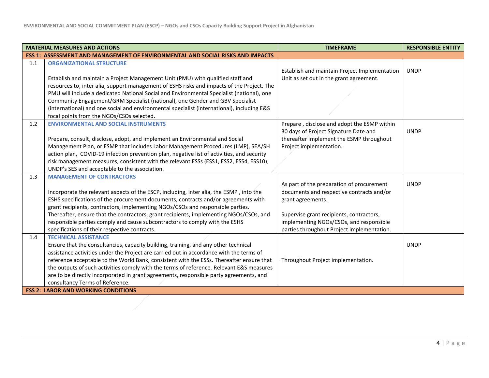|     | <b>MATERIAL MEASURES AND ACTIONS</b>                                                                                         | <b>TIMEFRAME</b>                                                                      | <b>RESPONSIBLE ENTITY</b> |
|-----|------------------------------------------------------------------------------------------------------------------------------|---------------------------------------------------------------------------------------|---------------------------|
|     | <b>ESS 1: ASSESSMENT AND MANAGEMENT OF ENVIRONMENTAL AND SOCIAL RISKS AND IMPACTS</b>                                        |                                                                                       |                           |
| 1.1 | <b>ORGANIZATIONAL STRUCTURE</b>                                                                                              | Establish and maintain Project Implementation                                         | <b>UNDP</b>               |
|     | Establish and maintain a Project Management Unit (PMU) with qualified staff and                                              | Unit as set out in the grant agreement.                                               |                           |
|     | resources to, inter alia, support management of ESHS risks and impacts of the Project. The                                   |                                                                                       |                           |
|     | PMU will include a dedicated National Social and Environmental Specialist (national), one                                    |                                                                                       |                           |
|     | Community Engagement/GRM Specialist (national), one Gender and GBV Specialist                                                |                                                                                       |                           |
|     | (international) and one social and environmental specialist (international), including E&S                                   |                                                                                       |                           |
|     | focal points from the NGOs/CSOs selected.                                                                                    |                                                                                       |                           |
| 1.2 | <b>ENVIRONMENTAL AND SOCIAL INSTRUMENTS</b>                                                                                  | Prepare, disclose and adopt the ESMP within                                           |                           |
|     |                                                                                                                              | 30 days of Project Signature Date and                                                 | <b>UNDP</b>               |
|     | Prepare, consult, disclose, adopt, and implement an Environmental and Social                                                 | thereafter implement the ESMP throughout                                              |                           |
|     | Management Plan, or ESMP that includes Labor Management Procedures (LMP), SEA/SH                                             | Project implementation.                                                               |                           |
|     | action plan, COVID-19 infection prevention plan, negative list of activities, and security                                   |                                                                                       |                           |
|     | risk management measures, consistent with the relevant ESSs (ESS1, ESS2, ESS4, ESS10),                                       |                                                                                       |                           |
|     | UNDP's SES and acceptable to the association.                                                                                |                                                                                       |                           |
| 1.3 | <b>MANAGEMENT OF CONTRACTORS</b>                                                                                             |                                                                                       |                           |
|     |                                                                                                                              | As part of the preparation of procurement                                             | <b>UNDP</b>               |
|     | Incorporate the relevant aspects of the ESCP, including, inter alia, the ESMP, into the                                      | documents and respective contracts and/or                                             |                           |
|     | ESHS specifications of the procurement documents, contracts and/or agreements with                                           | grant agreements.                                                                     |                           |
|     | grant recipients, contractors, implementing NGOs/CSOs and responsible parties.                                               |                                                                                       |                           |
|     | Thereafter, ensure that the contractors, grant recipients, implementing NGOs/CSOs, and                                       | Supervise grant recipients, contractors,                                              |                           |
|     | responsible parties comply and cause subcontractors to comply with the ESHS<br>specifications of their respective contracts. | implementing NGOs/CSOs, and responsible<br>parties throughout Project implementation. |                           |
| 1.4 | <b>TECHNICAL ASSISTANCE</b>                                                                                                  |                                                                                       |                           |
|     | Ensure that the consultancies, capacity building, training, and any other technical                                          |                                                                                       | <b>UNDP</b>               |
|     | assistance activities under the Project are carried out in accordance with the terms of                                      |                                                                                       |                           |
|     | reference acceptable to the World Bank, consistent with the ESSs. Thereafter ensure that                                     | Throughout Project implementation.                                                    |                           |
|     | the outputs of such activities comply with the terms of reference. Relevant E&S measures                                     |                                                                                       |                           |
|     | are to be directly incorporated in grant agreements, responsible party agreements, and                                       |                                                                                       |                           |
|     | consultancy Terms of Reference.                                                                                              |                                                                                       |                           |
|     | <b>ESS 2: LABOR AND WORKING CONDITIONS</b>                                                                                   |                                                                                       |                           |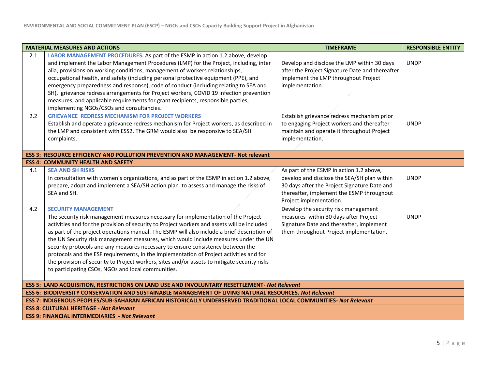|                                                                                                                                                                      | <b>MATERIAL MEASURES AND ACTIONS</b>                                                                                                                                                                                                                                                                                                                                                                                                                                                                                                                                                                                                                                                                                                     | <b>TIMEFRAME</b>                                                                                                                                                     | <b>RESPONSIBLE ENTITY</b> |
|----------------------------------------------------------------------------------------------------------------------------------------------------------------------|------------------------------------------------------------------------------------------------------------------------------------------------------------------------------------------------------------------------------------------------------------------------------------------------------------------------------------------------------------------------------------------------------------------------------------------------------------------------------------------------------------------------------------------------------------------------------------------------------------------------------------------------------------------------------------------------------------------------------------------|----------------------------------------------------------------------------------------------------------------------------------------------------------------------|---------------------------|
| 2.1                                                                                                                                                                  | LABOR MANAGEMENT PROCEDURES. As part of the ESMP in action 1.2 above, develop<br>and implement the Labor Management Procedures (LMP) for the Project, including, inter<br>alia, provisions on working conditions, management of workers relationships,<br>occupational health, and safety (including personal protective equipment (PPE), and<br>emergency preparedness and response), code of conduct (including relating to SEA and<br>SH), grievance redress arrangements for Project workers, COVID 19 infection prevention<br>measures, and applicable requirements for grant recipients, responsible parties,<br>implementing NGOs/CSOs and consultancies.                                                                         | Develop and disclose the LMP within 30 days<br>after the Project Signature Date and thereafter<br>implement the LMP throughout Project<br>implementation.            | <b>UNDP</b>               |
| 2.2                                                                                                                                                                  | <b>GRIEVANCE REDRESS MECHANISM FOR PROJECT WORKERS</b><br>Establish and operate a grievance redress mechanism for Project workers, as described in<br>the LMP and consistent with ESS2. The GRM would also be responsive to SEA/SH<br>complaints.                                                                                                                                                                                                                                                                                                                                                                                                                                                                                        | Establish grievance redress mechanism prior<br>to engaging Project workers and thereafter<br>maintain and operate it throughout Project<br>implementation.           | <b>UNDP</b>               |
|                                                                                                                                                                      | <b>ESS 3: RESOURCE EFFICIENCY AND POLLUTION PREVENTION AND MANAGEMENT- Not relevant</b><br><b>ESS 4: COMMUNITY HEALTH AND SAFETY</b>                                                                                                                                                                                                                                                                                                                                                                                                                                                                                                                                                                                                     |                                                                                                                                                                      |                           |
| 4.1                                                                                                                                                                  | <b>SEA AND SH RISKS</b>                                                                                                                                                                                                                                                                                                                                                                                                                                                                                                                                                                                                                                                                                                                  | As part of the ESMP in action 1.2 above,                                                                                                                             |                           |
|                                                                                                                                                                      | In consultation with women's organizations, and as part of the ESMP in action 1.2 above,<br>prepare, adopt and implement a SEA/SH action plan to assess and manage the risks of<br>SEA and SH.                                                                                                                                                                                                                                                                                                                                                                                                                                                                                                                                           | develop and disclose the SEA/SH plan within<br>30 days after the Project Signature Date and<br>thereafter, implement the ESMP throughout<br>Project implementation.  | <b>UNDP</b>               |
| 4.2                                                                                                                                                                  | <b>SECURITY MANAGEMENT</b><br>The security risk management measures necessary for implementation of the Project<br>activities and for the provision of security to Project workers and assets will be included<br>as part of the project operations manual. The ESMP will also include a brief description of<br>the UN Security risk management measures, which would include measures under the UN<br>security protocols and any measures necessary to ensure consistency between the<br>protocols and the ESF requirements, in the implementation of Project activities and for<br>the provision of security to Project workers, sites and/or assets to mitigate security risks<br>to participating CSOs, NGOs and local communities. | Develop the security risk management<br>measures within 30 days after Project<br>Signature Date and thereafter, implement<br>them throughout Project implementation. | <b>UNDP</b>               |
| ESS 5: LAND ACQUISITION, RESTRICTIONS ON LAND USE AND INVOLUNTARY RESETTLEMENT- Not Relevant                                                                         |                                                                                                                                                                                                                                                                                                                                                                                                                                                                                                                                                                                                                                                                                                                                          |                                                                                                                                                                      |                           |
| ESS 6: BIODIVERSITY CONSERVATION AND SUSTAINABLE MANAGEMENT OF LIVING NATURAL RESOURCES. Not Relevant                                                                |                                                                                                                                                                                                                                                                                                                                                                                                                                                                                                                                                                                                                                                                                                                                          |                                                                                                                                                                      |                           |
| ESS 7: INDIGENOUS PEOPLES/SUB-SAHARAN AFRICAN HISTORICALLY UNDERSERVED TRADITIONAL LOCAL COMMUNITIES- Not Relevant<br><b>ESS 8: CULTURAL HERITAGE - Not Relevant</b> |                                                                                                                                                                                                                                                                                                                                                                                                                                                                                                                                                                                                                                                                                                                                          |                                                                                                                                                                      |                           |
| <b>ESS 9: FINANCIAL INTERMEDIARIES - Not Relevant</b>                                                                                                                |                                                                                                                                                                                                                                                                                                                                                                                                                                                                                                                                                                                                                                                                                                                                          |                                                                                                                                                                      |                           |
|                                                                                                                                                                      |                                                                                                                                                                                                                                                                                                                                                                                                                                                                                                                                                                                                                                                                                                                                          |                                                                                                                                                                      |                           |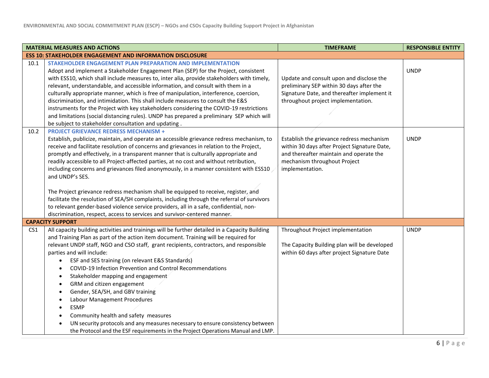|                 | <b>MATERIAL MEASURES AND ACTIONS</b>                                                                                                                                                                                                                                                                                                                                                                                                                                                                                                                                                                                                                                                                                                                                                                                                                                                                            | <b>TIMEFRAME</b>                                                                                                                                                                        | <b>RESPONSIBLE ENTITY</b> |
|-----------------|-----------------------------------------------------------------------------------------------------------------------------------------------------------------------------------------------------------------------------------------------------------------------------------------------------------------------------------------------------------------------------------------------------------------------------------------------------------------------------------------------------------------------------------------------------------------------------------------------------------------------------------------------------------------------------------------------------------------------------------------------------------------------------------------------------------------------------------------------------------------------------------------------------------------|-----------------------------------------------------------------------------------------------------------------------------------------------------------------------------------------|---------------------------|
|                 | <b>ESS 10: STAKEHOLDER ENGAGEMENT AND INFORMATION DISCLOSURE</b>                                                                                                                                                                                                                                                                                                                                                                                                                                                                                                                                                                                                                                                                                                                                                                                                                                                |                                                                                                                                                                                         |                           |
| 10.1            | STAKEHOLDER ENGAGEMENT PLAN PREPARATION AND IMPLEMENTATION<br>Adopt and implement a Stakeholder Engagement Plan (SEP) for the Project, consistent                                                                                                                                                                                                                                                                                                                                                                                                                                                                                                                                                                                                                                                                                                                                                               |                                                                                                                                                                                         | <b>UNDP</b>               |
|                 | with ESS10, which shall include measures to, inter alia, provide stakeholders with timely,<br>relevant, understandable, and accessible information, and consult with them in a<br>culturally appropriate manner, which is free of manipulation, interference, coercion,<br>discrimination, and intimidation. This shall include measures to consult the E&S<br>instruments for the Project with key stakeholders considering the COVID-19 restrictions<br>and limitations (social distancing rules). UNDP has prepared a preliminary SEP which will                                                                                                                                                                                                                                                                                                                                                             | Update and consult upon and disclose the<br>preliminary SEP within 30 days after the<br>Signature Date, and thereafter implement it<br>throughout project implementation.               |                           |
|                 | be subject to stakeholder consultation and updating.                                                                                                                                                                                                                                                                                                                                                                                                                                                                                                                                                                                                                                                                                                                                                                                                                                                            |                                                                                                                                                                                         |                           |
| 10.2            | <b>PROJECT GRIEVANCE REDRESS MECHANISM +</b><br>Establish, publicize, maintain, and operate an accessible grievance redress mechanism, to<br>receive and facilitate resolution of concerns and grievances in relation to the Project,<br>promptly and effectively, in a transparent manner that is culturally appropriate and<br>readily accessible to all Project-affected parties, at no cost and without retribution,<br>including concerns and grievances filed anonymously, in a manner consistent with ESS10<br>and UNDP's SES.                                                                                                                                                                                                                                                                                                                                                                           | Establish the grievance redress mechanism<br>within 30 days after Project Signature Date,<br>and thereafter maintain and operate the<br>mechanism throughout Project<br>implementation. | <b>UNDP</b>               |
|                 | The Project grievance redress mechanism shall be equipped to receive, register, and<br>facilitate the resolution of SEA/SH complaints, including through the referral of survivors<br>to relevant gender-based violence service providers, all in a safe, confidential, non-<br>discrimination, respect, access to services and survivor-centered manner.                                                                                                                                                                                                                                                                                                                                                                                                                                                                                                                                                       |                                                                                                                                                                                         |                           |
|                 | <b>CAPACITY SUPPORT</b>                                                                                                                                                                                                                                                                                                                                                                                                                                                                                                                                                                                                                                                                                                                                                                                                                                                                                         |                                                                                                                                                                                         |                           |
| CS <sub>1</sub> | All capacity building activities and trainings will be further detailed in a Capacity Building<br>and Training Plan as part of the action item document. Training will be required for<br>relevant UNDP staff, NGO and CSO staff, grant recipients, contractors, and responsible<br>parties and will include:<br>ESF and SES training (on relevant E&S Standards)<br>$\bullet$<br>COVID-19 Infection Prevention and Control Recommendations<br>$\bullet$<br>Stakeholder mapping and engagement<br>$\bullet$<br>GRM and citizen engagement<br>$\bullet$<br>Gender, SEA/SH, and GBV training<br>٠<br>Labour Management Procedures<br>$\bullet$<br><b>ESMP</b><br>$\bullet$<br>Community health and safety measures<br>$\bullet$<br>UN security protocols and any measures necessary to ensure consistency between<br>$\bullet$<br>the Protocol and the ESF requirements in the Project Operations Manual and LMP. | Throughout Project implementation<br>The Capacity Building plan will be developed<br>within 60 days after project Signature Date                                                        | <b>UNDP</b>               |